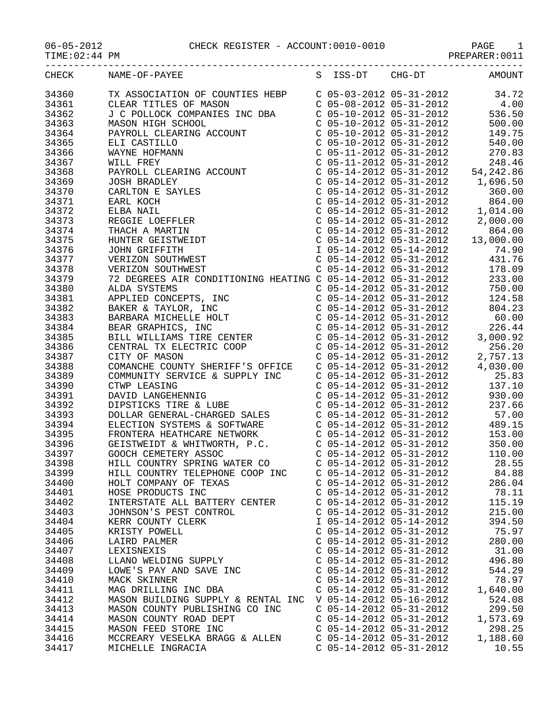06-05-2012 CHECK REGISTER - ACCOUNT:0010-0010 PAGE 1

PREPARER:0011

|  | CULCUL DROICED | $\pi$ aant |
|--|----------------|------------|

| TIME: 02:44 PM |  |
|----------------|--|
|----------------|--|

| CHECK | NAME-OF-PAYEE | S ISS-DT CHG-DT | AMOUNT |
|-------|---------------|-----------------|--------|
|       |               |                 |        |
|       |               |                 |        |
|       |               |                 |        |
|       |               |                 |        |
|       |               |                 |        |
|       |               |                 |        |
|       |               |                 |        |
|       |               |                 |        |
|       |               |                 |        |
|       |               |                 |        |
|       |               |                 |        |
|       |               |                 |        |
|       |               |                 |        |
|       |               |                 |        |
|       |               |                 |        |
|       |               |                 |        |
|       |               |                 |        |
|       |               |                 |        |
|       |               |                 |        |
|       |               |                 |        |
|       |               |                 |        |
|       |               |                 |        |
|       |               |                 |        |
|       |               |                 |        |
|       |               |                 |        |
|       |               |                 |        |
|       |               |                 |        |
|       |               |                 |        |
|       |               |                 |        |
|       |               |                 |        |
|       |               |                 |        |
|       |               |                 |        |
|       |               |                 |        |
|       |               |                 |        |
|       |               |                 |        |
|       |               |                 |        |
|       |               |                 |        |
|       |               |                 |        |
|       |               |                 |        |
|       |               |                 |        |
|       |               |                 |        |
|       |               |                 |        |
|       |               |                 |        |
|       |               |                 | 215.00 |

34404 KERR COUNTY CLERK 1 05-14-2012 05-14-2012 394.50 34405 KRISTY POWELL C 05-14-2012 05-31-2012 75.97 34406 LAIRD PALMER C 05-14-2012 05-31-2012 280.00 34407 LEXISNEXIS C 05-14-2012 05-31-2012 31.00 34408 LLANO WELDING SUPPLY C 05-14-2012 05-31-2012 496.80 34409 LOWE'S PAY AND SAVE INC C 05-14-2012 05-31-2012 544.29 34410 MACK SKINNER C 05-14-2012 05-31-2012 78.97 34411 MAG DRILLING INC DBA C 05-14-2012 05-31-2012 1,640.00

| 34412 | MASON BUILDING SUPPLY & RENTAL INC V 05-14-2012 05-16-2012 |                           | 524.08   |
|-------|------------------------------------------------------------|---------------------------|----------|
| 34413 | MASON COUNTY PUBLISHING CO INC                             | $C$ 05-14-2012 05-31-2012 | 299.50   |
| 34414 | MASON COUNTY ROAD DEPT                                     | C 05-14-2012 05-31-2012   | 1,573.69 |
| 34415 | MASON FEED STORE INC                                       | C 05-14-2012 05-31-2012   | -298.25  |
| 34416 | MCCREARY VESELKA BRAGG & ALLEN                             | C 05-14-2012 05-31-2012   | 1,188.60 |

34417 MICHELLE INGRACIA C 05-14-2012 05-31-2012 10.55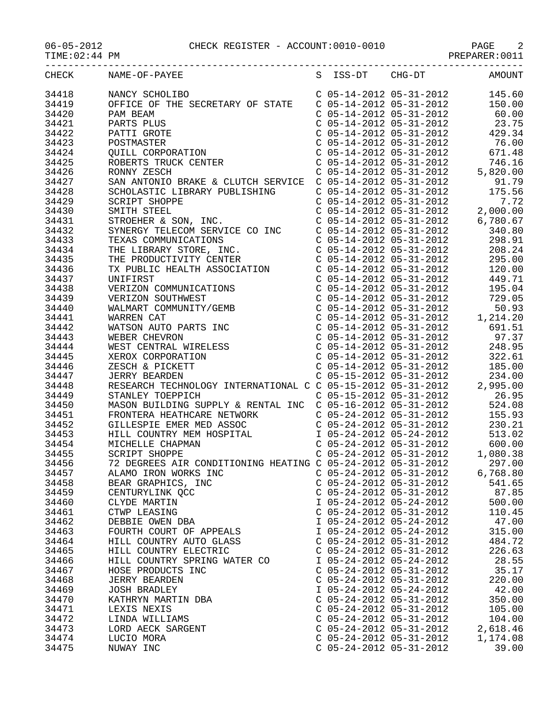06-05-2012 CHECK REGISTER - ACCOUNT:0010-0010 PAGE 2

| $06 - 05 - 2012$ |  |  |
|------------------|--|--|
|                  |  |  |

|  |  |  |  |  | PREPARER.UUI. |  |  |  |
|--|--|--|--|--|---------------|--|--|--|
|  |  |  |  |  |               |  |  |  |

| $U0-U5-ZULZ$<br>TIME: 02:44 PM | PAGE 2 PAGE 2<br>PREPARER:0011                                                                                                                                                                                                       |                                                                               |                                                                                                                                                                                                                                                                                    |
|--------------------------------|--------------------------------------------------------------------------------------------------------------------------------------------------------------------------------------------------------------------------------------|-------------------------------------------------------------------------------|------------------------------------------------------------------------------------------------------------------------------------------------------------------------------------------------------------------------------------------------------------------------------------|
| CHECK                          | NAME-OF-PAYEE                                                                                                                                                                                                                        | S ISS-DT CHG-DT                                                               | AMOUNT                                                                                                                                                                                                                                                                             |
| 34418                          | NANCY SCHOLIBO                                                                                                                                                                                                                       |                                                                               | $\left( \begin{array}{llllll} \mbox{C} & 05\mbox{-}14\mbox{-}2012 & 05\mbox{-}31\mbox{-}2012 & 145.60 \\ \mbox{C} & 05\mbox{-}14\mbox{-}2012 & 05\mbox{-}31\mbox{-}2012 & 150.00 \\ \mbox{C} & 05\mbox{-}14\mbox{-}2012 & 05\mbox{-}31\mbox{-}2012 & 60.00 \\ \end{array} \right)$ |
| 34419                          | OFFICE OF THE SECRETARY OF STATE                                                                                                                                                                                                     |                                                                               |                                                                                                                                                                                                                                                                                    |
| 34420                          |                                                                                                                                                                                                                                      |                                                                               |                                                                                                                                                                                                                                                                                    |
| 34421                          | PAM BEAM<br>PARTS PLUS<br>PARTS PLUS<br>POSTMASTER<br>QUILL CORPORATION<br>ROBERTS TRUCK CENTER                                                                                                                                      | $C$ 05-14-2012 05-31-2012                                                     | 23.75                                                                                                                                                                                                                                                                              |
| 34422                          |                                                                                                                                                                                                                                      |                                                                               | $C$ 05-14-2012 05-31-2012 429.34                                                                                                                                                                                                                                                   |
| 34423                          |                                                                                                                                                                                                                                      | $C$ 05-14-2012 05-31-2012                                                     | 76.00                                                                                                                                                                                                                                                                              |
| 34424                          |                                                                                                                                                                                                                                      |                                                                               | 671.48                                                                                                                                                                                                                                                                             |
| 34425                          |                                                                                                                                                                                                                                      | C 05-14-2012 05-31-2012<br>C 05-14-2012 05-31-2012<br>C 05-14-2012 05-31-2012 | 746.16                                                                                                                                                                                                                                                                             |
| 34426                          |                                                                                                                                                                                                                                      |                                                                               | 5,820.00                                                                                                                                                                                                                                                                           |
| 34427                          | SAN ANTONIO BRAKE & CLUTCH SERVICE C 05-14-2012 05-31-2012                                                                                                                                                                           |                                                                               | 91.79                                                                                                                                                                                                                                                                              |
| 34428                          | SCHOLASTIC LIBRARY PUBLISHING                                                                                                                                                                                                        | C 05-14-2012 05-31-2012                                                       | 175.56                                                                                                                                                                                                                                                                             |
| 34429                          |                                                                                                                                                                                                                                      | $C$ 05-14-2012 05-31-2012                                                     |                                                                                                                                                                                                                                                                                    |
|                                | <b>SCRIPT SHOPPE</b>                                                                                                                                                                                                                 |                                                                               | 7.72                                                                                                                                                                                                                                                                               |
| 34430                          | SMITH STEEL                                                                                                                                                                                                                          | C 05-14-2012 05-31-2012<br>C 05-14-2012 05-31-2012<br>C 05-14-2012 05-31-2012 | 2,000.00                                                                                                                                                                                                                                                                           |
| 34431                          | STROEHER & SON, INC.                                                                                                                                                                                                                 |                                                                               | 6,780.67                                                                                                                                                                                                                                                                           |
| 34432                          | SYNERGY TELECOM SERVICE CO INC                                                                                                                                                                                                       | $C$ 05-14-2012 05-31-2012                                                     | 340.80                                                                                                                                                                                                                                                                             |
| 34433                          | TEXAS COMMUNICATIONS                                                                                                                                                                                                                 | $C$ 05-14-2012 05-31-2012                                                     | 298.91                                                                                                                                                                                                                                                                             |
| 34434                          | THE LIBRARY STORE, INC.                                                                                                                                                                                                              | $C$ 05-14-2012 05-31-2012                                                     | 208.24                                                                                                                                                                                                                                                                             |
| 34435                          | THE PRODUCTIVITY CENTER<br>TX PUBLIC HEALTH ASSOCIATION                                                                                                                                                                              | C 05-14-2012 05-31-2012<br>C 05-14-2012 05-31-2012<br>C 05-14-2012 05-31-2012 | 295.00                                                                                                                                                                                                                                                                             |
| 34436                          |                                                                                                                                                                                                                                      |                                                                               | 120.00                                                                                                                                                                                                                                                                             |
| 34437                          | UNIFIRST                                                                                                                                                                                                                             |                                                                               | 449.71                                                                                                                                                                                                                                                                             |
| 34438                          | VERIZON COMMUNICATIONS                                                                                                                                                                                                               | $C$ 05-14-2012 05-31-2012                                                     | 195.04                                                                                                                                                                                                                                                                             |
| 34439                          | VERIZON SOUTHWEST                                                                                                                                                                                                                    | $C$ 05-14-2012 05-31-2012                                                     | 729.05                                                                                                                                                                                                                                                                             |
| 34440                          | WALMART COMMUNITY/GEMB                                                                                                                                                                                                               | C 05-14-2012 05-31-2012<br>C 05-14-2012 05-31-2012<br>C 05-14-2012 05-31-2012 | 50.93                                                                                                                                                                                                                                                                              |
| 34441                          | WARREN CAT                                                                                                                                                                                                                           |                                                                               | 1,214.20                                                                                                                                                                                                                                                                           |
| 34442                          | WATSON AUTO PARTS INC<br>WEBER CHEVEON                                                                                                                                                                                               |                                                                               | 691.51                                                                                                                                                                                                                                                                             |
| 34443                          |                                                                                                                                                                                                                                      | $C$ 05-14-2012 05-31-2012                                                     | 97.37                                                                                                                                                                                                                                                                              |
| 34444                          |                                                                                                                                                                                                                                      |                                                                               | $C$ 05-14-2012 05-31-2012 248.95                                                                                                                                                                                                                                                   |
| 34445                          | WEBER CHEVRON<br>WEST CENTRAL WIRELESS<br>XEROX CORPORATION                                                                                                                                                                          | $C$ 05-14-2012 05-31-2012                                                     | 322.61                                                                                                                                                                                                                                                                             |
| 34446                          | ZESCH & PICKETT<br>JERRY BEARDEN C 05-14-2012 05-31-2012<br>RESEARCH TECHNOLOGY INTERNATIONAL C C 05-15-2012 05-31-2012                                                                                                              |                                                                               | 185.00                                                                                                                                                                                                                                                                             |
| 34447                          |                                                                                                                                                                                                                                      |                                                                               | 234.00                                                                                                                                                                                                                                                                             |
| 34448                          |                                                                                                                                                                                                                                      |                                                                               | 2,995.00                                                                                                                                                                                                                                                                           |
| 34449                          | STANLEY TOEPPICH C 05-15-2012 05-31-2012<br>MASON BUILDING SUPPLY & RENTAL INC C 05-16-2012 05-31-2012 524.08                                                                                                                        |                                                                               |                                                                                                                                                                                                                                                                                    |
| 34450                          |                                                                                                                                                                                                                                      |                                                                               |                                                                                                                                                                                                                                                                                    |
| 34451                          | FRONTERA HEATHCARE NETWORK                                                                                                                                                                                                           | C 05-24-2012 05-31-2012                                                       | 155.93                                                                                                                                                                                                                                                                             |
| 34452                          | GILLESPIE EMER MED ASSOC                                                                                                                                                                                                             | C 05-24-2012 05-31-2012<br>I 05-24-2012 05-24-2012                            | 230.21                                                                                                                                                                                                                                                                             |
| 34453                          | HILL COUNTRY MEM HOSPITAL<br>MICHELLE CHAPMAN                                                                                                                                                                                        |                                                                               | 513.02                                                                                                                                                                                                                                                                             |
| 34454                          | MICHELLE CHAPMAN                                                                                                                                                                                                                     | $C$ 05-24-2012 05-31-2012                                                     | 600.00                                                                                                                                                                                                                                                                             |
| 34455                          | <b>SCRIPT SHOPPE</b>                                                                                                                                                                                                                 | $C$ 05-24-2012 05-31-2012                                                     | 1,080.38                                                                                                                                                                                                                                                                           |
| 34456                          |                                                                                                                                                                                                                                      |                                                                               |                                                                                                                                                                                                                                                                                    |
| 34457                          | 72 DEGREES AIR CONDITIONING HEATING C 05-24-2012 05-31-2012 297.00<br>ALAMO IRON WORKS INC C 05-24-2012 05-31-2012 6,768.80<br>BEAR GRAPHICS, INC C 05-24-2012 05-31-2012 541.65<br>CENTURYLINK QCC C 05-24-2012 05-31-2012 87.85    |                                                                               |                                                                                                                                                                                                                                                                                    |
| 34458                          |                                                                                                                                                                                                                                      |                                                                               |                                                                                                                                                                                                                                                                                    |
| 34459                          |                                                                                                                                                                                                                                      |                                                                               |                                                                                                                                                                                                                                                                                    |
| 34460                          |                                                                                                                                                                                                                                      |                                                                               |                                                                                                                                                                                                                                                                                    |
| 34461                          |                                                                                                                                                                                                                                      |                                                                               |                                                                                                                                                                                                                                                                                    |
| 34462                          |                                                                                                                                                                                                                                      |                                                                               |                                                                                                                                                                                                                                                                                    |
| 34463                          |                                                                                                                                                                                                                                      |                                                                               |                                                                                                                                                                                                                                                                                    |
| 34464                          |                                                                                                                                                                                                                                      |                                                                               |                                                                                                                                                                                                                                                                                    |
| 34465                          |                                                                                                                                                                                                                                      |                                                                               |                                                                                                                                                                                                                                                                                    |
| 34466                          |                                                                                                                                                                                                                                      |                                                                               |                                                                                                                                                                                                                                                                                    |
| 34467                          | ERAR GRAPHILS,<br>CENTURYLINK QCC<br>CLYDE MARTIN<br>CTWP LEASING C 05-24-2012 05-31-2012<br>DEBBIE OWEN DBA I 05-24-2012 05-24-2012 47.00<br>FOURTH COURT OF APPEALS I 05-24-2012 05-24-2012 315.00<br>TILI, COUNTRY AUTO GLASS C 0 |                                                                               |                                                                                                                                                                                                                                                                                    |
| 34468                          |                                                                                                                                                                                                                                      |                                                                               | $\left( \begin{array}{ccc} \text{C} & 05-24-2012 & 05-31-2012 & 220.00 \\ \text{I} & 05-24-2012 & 05-24-2012 & 42.00 \\ \text{C} & 05-24-2012 & 05-31-2012 & 350.00 \end{array} \right)$<br>220.00                                                                                 |
| 34469                          |                                                                                                                                                                                                                                      |                                                                               | 42.00                                                                                                                                                                                                                                                                              |
| 34470                          |                                                                                                                                                                                                                                      |                                                                               |                                                                                                                                                                                                                                                                                    |
| 34471                          | ראס BRADLEY<br>KATHRYN MARTIN DBA<br>LEXIS NEXIS<br>LINDA IT                                                                                                                                                                         |                                                                               | $C$ 05-24-2012 05-31-2012 105.00                                                                                                                                                                                                                                                   |
| 34472                          |                                                                                                                                                                                                                                      |                                                                               |                                                                                                                                                                                                                                                                                    |
| 34473                          | LINDA WILLIAMS<br>LORD AECK SARGENT<br>LUGIO MOTI                                                                                                                                                                                    |                                                                               | C $05-24-2012$ $05-31-2012$ $104.00$<br>C $05-24-2012$ $05-31-2012$ $2,618.46$                                                                                                                                                                                                     |
| 34474                          | LUCIO MORA                                                                                                                                                                                                                           |                                                                               | 1,174.08                                                                                                                                                                                                                                                                           |
| 34475                          | NUWAY INC                                                                                                                                                                                                                            | C 05-24-2012 05-31-2012<br>C 05-24-2012 05-31-2012                            | 39.00                                                                                                                                                                                                                                                                              |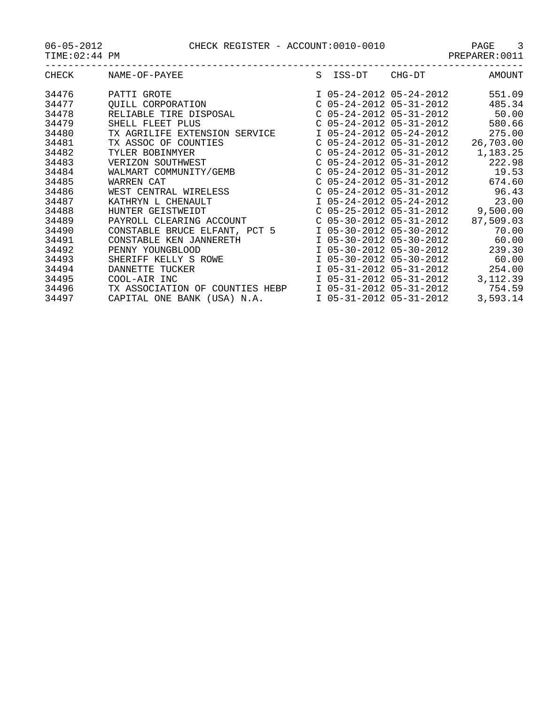| <b>CHECK</b> | NAME-OF-PAYEE                   | S | ISS-DT                    | CHG-DT                    | AMOUNT    |
|--------------|---------------------------------|---|---------------------------|---------------------------|-----------|
|              |                                 |   |                           |                           |           |
| 34476        | PATTI GROTE                     |   |                           | I 05-24-2012 05-24-2012   | 551.09    |
| 34477        | OUILL CORPORATION               |   | $C$ 05-24-2012 05-31-2012 |                           | 485.34    |
| 34478        | RELIABLE TIRE DISPOSAL          |   | $C$ 05-24-2012 05-31-2012 |                           | 50.00     |
| 34479        | SHELL FLEET PLUS                |   | $C$ 05-24-2012 05-31-2012 |                           | 580.66    |
| 34480        | TX AGRILIFE EXTENSION SERVICE   |   | I 05-24-2012 05-24-2012   |                           | 275.00    |
| 34481        | TX ASSOC OF COUNTIES            |   |                           | $C$ 05-24-2012 05-31-2012 | 26,703.00 |
| 34482        | TYLER BOBINMYER                 |   | $C$ 05-24-2012 05-31-2012 |                           | 1,183.25  |
| 34483        | VERIZON SOUTHWEST               |   | $C$ 05-24-2012 05-31-2012 |                           | 222.98    |
| 34484        | WALMART COMMUNITY/GEMB          |   | $C$ 05-24-2012 05-31-2012 |                           | 19.53     |
| 34485        | WARREN CAT                      |   | $C$ 05-24-2012 05-31-2012 |                           | 674.60    |
| 34486        | WEST CENTRAL WIRELESS           |   | $C$ 05-24-2012 05-31-2012 |                           | 96.43     |
| 34487        | KATHRYN L CHENAULT              |   | I 05-24-2012 05-24-2012   |                           | 23.00     |
| 34488        | HUNTER GEISTWEIDT               |   | $C$ 05-25-2012 05-31-2012 |                           | 9,500.00  |
| 34489        | PAYROLL CLEARING ACCOUNT        |   | $C$ 05-30-2012 05-31-2012 |                           | 87,509.03 |
| 34490        | CONSTABLE BRUCE ELFANT, PCT 5   |   | I 05-30-2012 05-30-2012   |                           | 70.00     |
| 34491        | CONSTABLE KEN JANNERETH         |   | I 05-30-2012 05-30-2012   |                           | 60.00     |
| 34492        | PENNY YOUNGBLOOD                |   | I 05-30-2012 05-30-2012   |                           | 239.30    |
| 34493        | SHERIFF KELLY S ROWE            |   | I 05-30-2012 05-30-2012   |                           | 60.00     |
| 34494        | DANNETTE TUCKER                 |   | I 05-31-2012 05-31-2012   |                           | 254.00    |
| 34495        | COOL-AIR INC                    |   | I 05-31-2012 05-31-2012   |                           | 3,112.39  |
| 34496        | TX ASSOCIATION OF COUNTIES HEBP |   | I 05-31-2012 05-31-2012   |                           | 754.59    |
| 34497        | CAPITAL ONE BANK (USA) N.A.     |   | I 05-31-2012 05-31-2012   |                           | 3,593.14  |